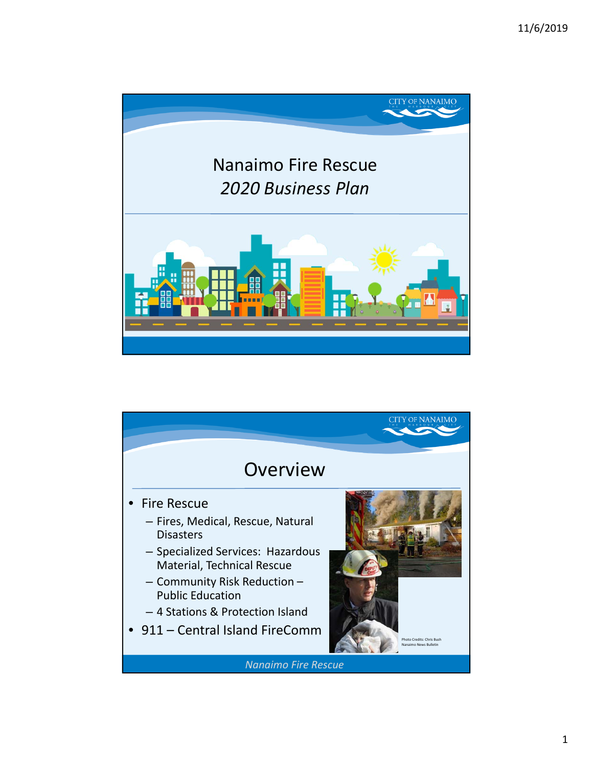

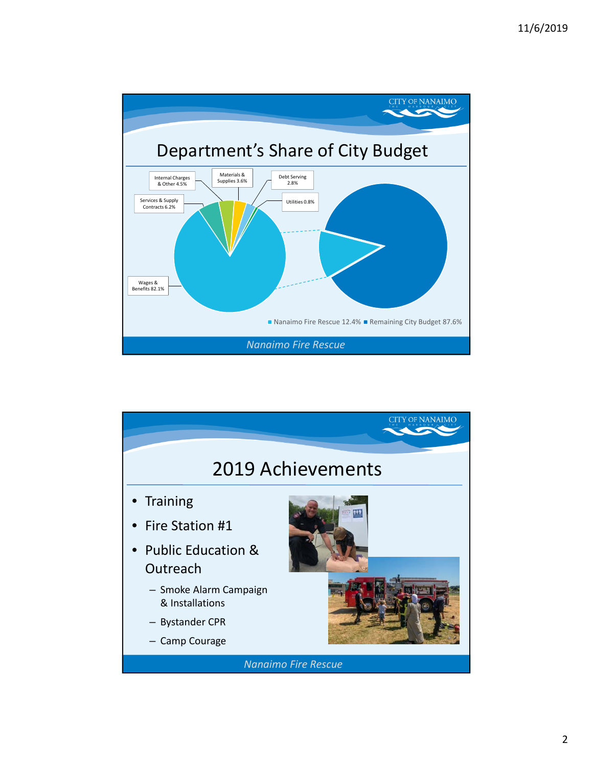

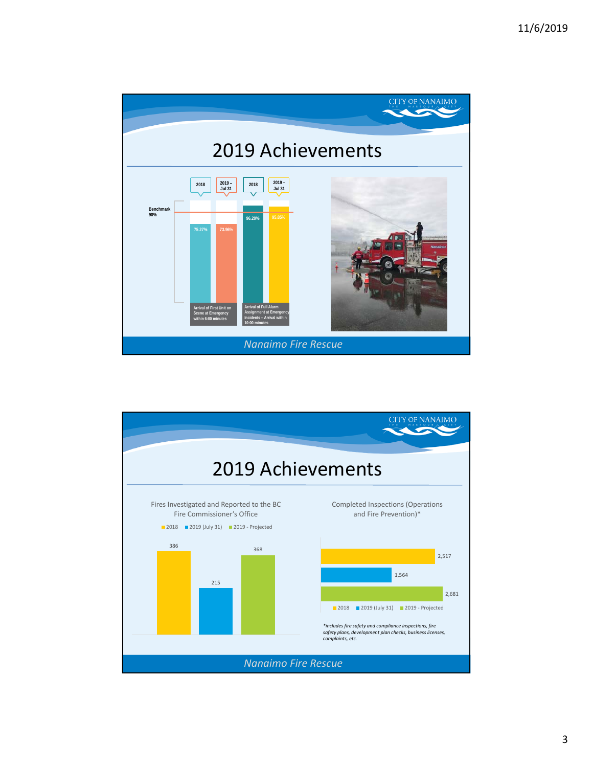

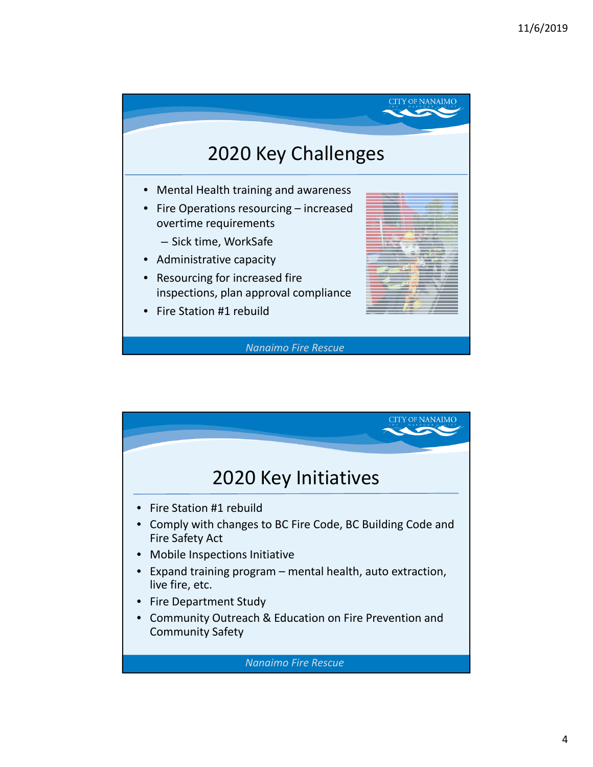

*Nanaimo Fire Rescue*